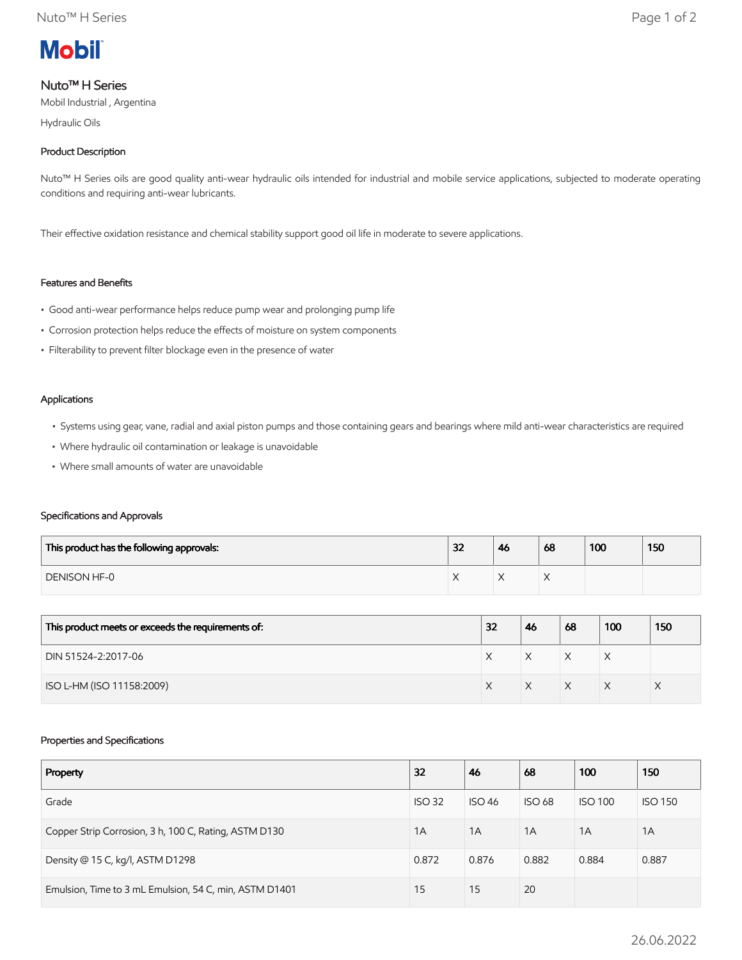

# Nuto™ H Series

Mobil Industrial , Argentina

Hydraulic Oils

## Product Description

Nuto<sup>™</sup> H Series oils are good quality anti-wear hydraulic oils intended for industrial and mobile service applications, subjected to moderate operating conditions and requiring anti-wear lubricants.

Their effective oxidation resistance and chemical stability support good oil life in moderate to severe applications.

## Features and Benefits

- Good anti-wear performance helps reduce pump wear and prolonging pump life
- Corrosion protection helps reduce the effects of moisture on system components
- Filterability to prevent filter blockage even in the presence of water

#### Applications

- Systems using gear, vane, radial and axial piston pumps and those containing gears and bearings where mild anti-wear characteristics are required
- Where hydraulic oil contamination or leakage is unavoidable
- Where small amounts of water are unavoidable

## Specifications and Approvals

| This product has the following approvals: | 32 | 46 | 68 | 100 | 150 |
|-------------------------------------------|----|----|----|-----|-----|
| <b>DENISON HF-0</b>                       |    |    |    |     |     |

| This product meets or exceeds the requirements of: | 32 | 46 | 68           | 100 | 150 |
|----------------------------------------------------|----|----|--------------|-----|-----|
| DIN 51524-2:2017-06                                |    |    | $\checkmark$ | ⋏   |     |
| ISO L-HM (ISO 11158:2009)                          |    |    | $\checkmark$ |     |     |

#### Properties and Specifications

| Property                                               | 32            | 46            | 68            | 100            | 150            |
|--------------------------------------------------------|---------------|---------------|---------------|----------------|----------------|
| Grade                                                  | <b>ISO 32</b> | <b>ISO 46</b> | <b>ISO 68</b> | <b>ISO 100</b> | <b>ISO 150</b> |
| Copper Strip Corrosion, 3 h, 100 C, Rating, ASTM D130  | 1A            | 1A            | 1A            | 1A             | 1A             |
| Density @ 15 C, kg/l, ASTM D1298                       | 0.872         | 0.876         | 0.882         | 0.884          | 0.887          |
| Emulsion, Time to 3 mL Emulsion, 54 C, min, ASTM D1401 | 15            | 15            | 20            |                |                |